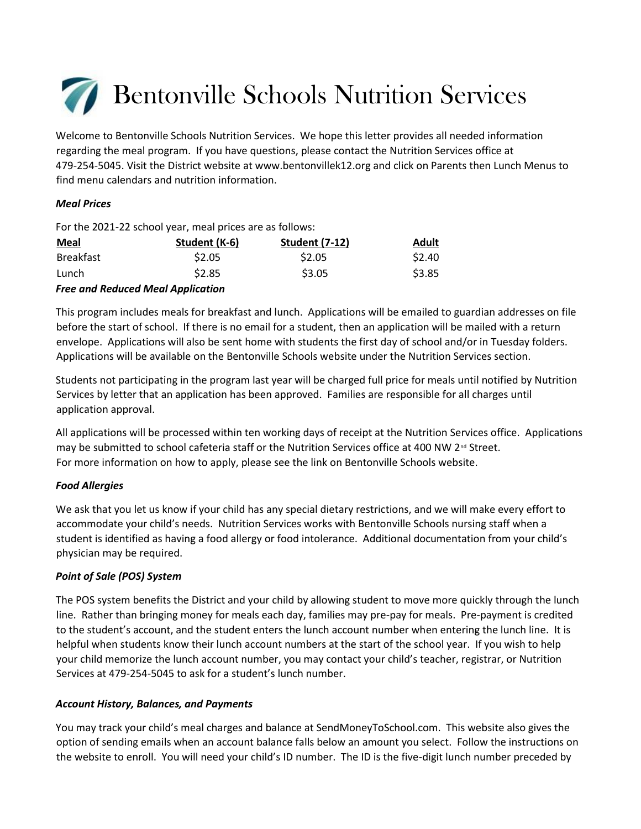# Bentonville Schools Nutrition Services

Welcome to Bentonville Schools Nutrition Services. We hope this letter provides all needed information regarding the meal program. If you have questions, please contact the Nutrition Services office at 479-254-5045. Visit the District website at www.bentonvillek12.org and click on Parents then Lunch Menus to find menu calendars and nutrition information.

# *Meal Prices*

For the 2021-22 school year, meal prices are as follows:

| <b>Meal</b>                              | Student (K-6) | <b>Student (7-12)</b> | <b>Adult</b> |
|------------------------------------------|---------------|-----------------------|--------------|
| <b>Breakfast</b>                         | \$2.05        | \$2.05                | \$2.40       |
| Lunch                                    | \$2.85        | \$3.05                | \$3.85       |
| <b>Free and Reduced Meal Application</b> |               |                       |              |

This program includes meals for breakfast and lunch. Applications will be emailed to guardian addresses on file before the start of school. If there is no email for a student, then an application will be mailed with a return envelope. Applications will also be sent home with students the first day of school and/or in Tuesday folders. Applications will be available on the Bentonville Schools website under the Nutrition Services section.

Students not participating in the program last year will be charged full price for meals until notified by Nutrition Services by letter that an application has been approved. Families are responsible for all charges until application approval.

All applications will be processed within ten working days of receipt at the Nutrition Services office. Applications may be submitted to school cafeteria staff or the Nutrition Services office at 400 NW 2<sup>nd</sup> Street. For more information on how to apply, please see the link on Bentonville Schools website.

## *Food Allergies*

We ask that you let us know if your child has any special dietary restrictions, and we will make every effort to accommodate your child's needs. Nutrition Services works with Bentonville Schools nursing staff when a student is identified as having a food allergy or food intolerance. Additional documentation from your child's physician may be required.

# *Point of Sale (POS) System*

The POS system benefits the District and your child by allowing student to move more quickly through the lunch line. Rather than bringing money for meals each day, families may pre-pay for meals. Pre-payment is credited to the student's account, and the student enters the lunch account number when entering the lunch line. It is helpful when students know their lunch account numbers at the start of the school year. If you wish to help your child memorize the lunch account number, you may contact your child's teacher, registrar, or Nutrition Services at 479-254-5045 to ask for a student's lunch number.

# *Account History, Balances, and Payments*

You may track your child's meal charges and balance at SendMoneyToSchool.com. This website also gives the option of sending emails when an account balance falls below an amount you select. Follow the instructions on the website to enroll. You will need your child's ID number. The ID is the five-digit lunch number preceded by